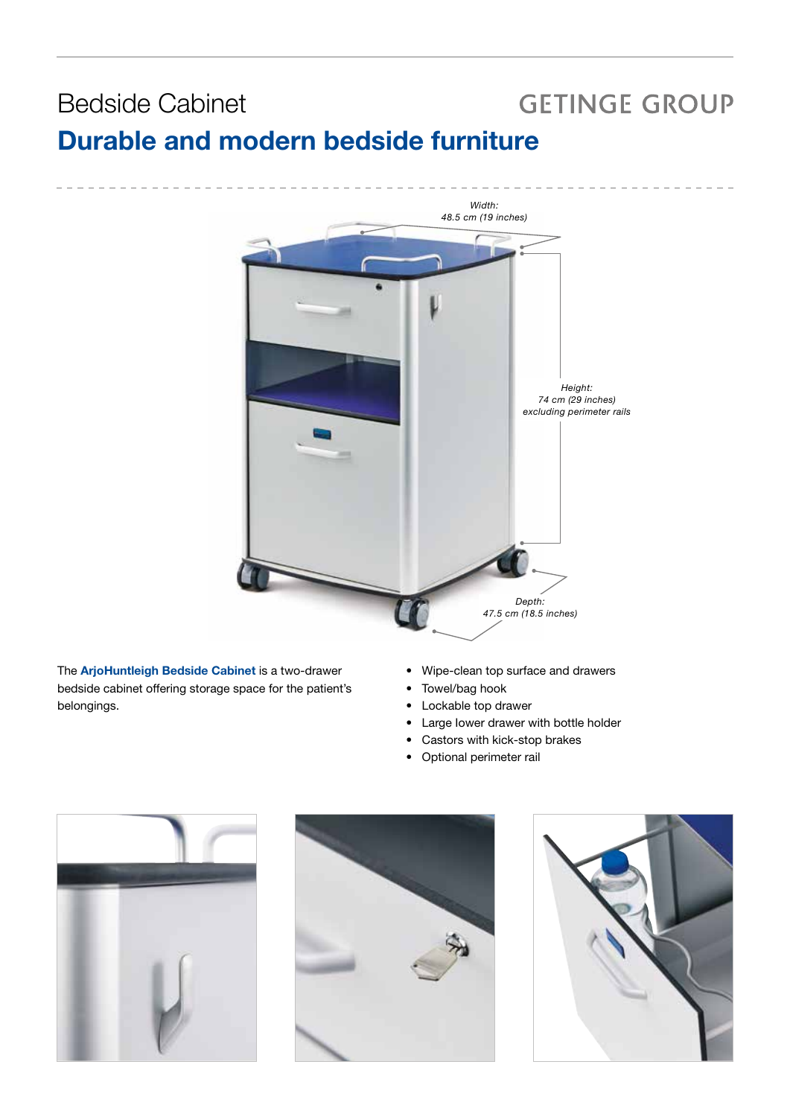### **GETINGE GROUP** Bedside Cabinet Durable and modern bedside furniture



The ArjoHuntleigh Bedside Cabinet is a two-drawer bedside cabinet offering storage space for the patient's belongings.

- Wipe-clean top surface and drawers
- Towel/bag hook
- Lockable top drawer
- Large Iower drawer with bottle holder
- Castors with kick-stop brakes
- Optional perimeter rail